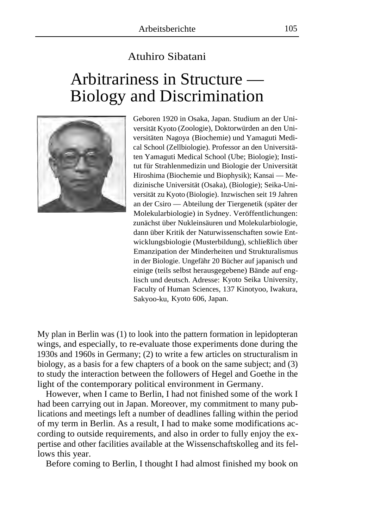## Atuhiro Sibatani

## Arbitrariness in Structure — Biology and Discrimination



Geboren 1920 in Osaka, Japan. Studium an der Universität Kyoto (Zoologie), Doktorwürden an den Universitäten Nagoya (Biochemie) und Yamaguti Medical School (Zellbiologie). Professor an den Universitäten Yamaguti Medical School (Ube; Biologie); Institut für Strahlenmedizin und Biologie der Universität Hiroshima (Biochemie und Biophysik); Kansai — Medizinische Universität (Osaka), (Biologie); Seika-Universität zu Kyoto (Biologie). Inzwischen seit 19 Jahren an der Csiro — Abteilung der Tiergenetik (später der Molekularbiologie) in Sydney. Veröffentlichungen: zunächst über Nukleinsäuren und Molekularbiologie, dann über Kritik der Naturwissenschaften sowie Entwicklungsbiologie (Musterbildung), schließlich über Emanzipation der Minderheiten und Strukturalismus in der Biologie. Ungefähr 20 Bücher auf japanisch und einige (teils selbst herausgegebene) Bände auf englisch und deutsch. Adresse: Kyoto Seika University, Faculty of Human Sciences, 137 Kinotyoo, Iwakura, Sakyoo-ku, Kyoto 606, Japan.

My plan in Berlin was (1) to look into the pattern formation in lepidopteran wings, and especially, to re-evaluate those experiments done during the 1930s and 1960s in Germany; (2) to write a few articles on structuralism in biology, as a basis for a few chapters of a book on the same subject; and (3) to study the interaction between the followers of Hegel and Goethe in the light of the contemporary political environment in Germany.

However, when I came to Berlin, I had not finished some of the work I had been carrying out in Japan. Moreover, my commitment to many publications and meetings left a number of deadlines falling within the period of my term in Berlin. As a result, I had to make some modifications according to outside requirements, and also in order to fully enjoy the expertise and other facilities available at the Wissenschaftskolleg and its fellows this year.

Before coming to Berlin, I thought I had almost finished my book on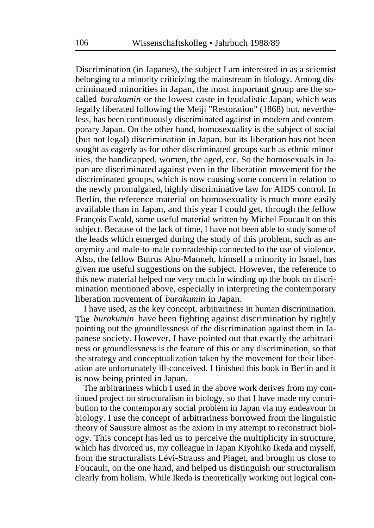Discrimination (in Japanes), the subject I am interested in as a scientist belonging to a minority criticizing the mainstream in biology. Among discriminated minorities in Japan, the most important group are the socalled *burakumin* or the lowest caste in feudalistic Japan, which was legally liberated following the Meiji "Restoration" (1868) but, nevertheless, has been continuously discriminated against in modern and contemporary Japan. On the other hand, homosexuality is the subject of social (but not legal) discrimination in Japan, but its liberation has not been sought as eagerly as for other discriminated groups such as ethnic minorities, the handicapped, women, the aged, etc. So the homosexuals in Japan are discriminated against even in the liberation movement for the discriminated groups, which is now causing some concern in relation to the newly promulgated, highly discriminative law for AIDS control. In Berlin, the reference material on homosexuality is much more easily available than in Japan, and this year I could get, through the fellow François Ewald, some useful material written by Michel Foucault on this subject. Because of the lack of time, I have not been able to study some of the leads which emerged during the study of this problem, such as anonymity and male-to-male comradeship connected to the use of violence. Also, the fellow Butrus Abu-Manneh, himself a minority in Israel, has given me useful suggestions on the subject. However, the reference to this new material helped me very much in winding up the book on discrimination mentioned above, especially in interpreting the contemporary liberation movement of *burakumin* in Japan.

I have used, as the key concept, arbitrariness in human discrimination. The *burakumin* have been fighting against discrimination by rightly pointing out the groundlessness of the discrimination against them in Japanese society. However, I have pointed out that exactly the arbitrariness or groundlessness is the feature of this or any discrimination, so that the strategy and conceptualization taken by the movement for their liberation are unfortunately ill-conceived. I finished this book in Berlin and it is now being printed in Japan.

The arbitrariness which I used in the above work derives from my continued project on structuralism in biology, so that I have made my contribution to the contemporary social problem in Japan via my endeavour in biology. I use the concept of arbitrariness borrowed from the linguistic theory of Saussure almost as the axiom in my attempt to reconstruct biology. This concept has led us to perceive the multiplicity in structure, which has divorced us, my colleague in Japan Kiyohiko Ikeda and myself, from the structuralists Lévi-Strauss and Piaget, and brought us close to Foucault, on the one hand, and helped us distinguish our structuralism clearly from holism. While Ikeda is theoretically working out logical con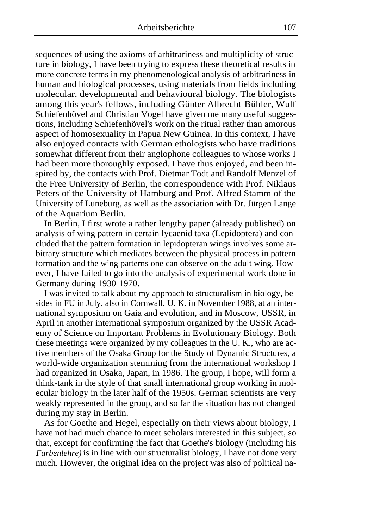sequences of using the axioms of arbitrariness and multiplicity of structure in biology, I have been trying to express these theoretical results in more concrete terms in my phenomenological analysis of arbitrariness in human and biological processes, using materials from fields including molecular, developmental and behavioural biology. The biologists among this year's fellows, including Günter Albrecht-Bühler, Wulf Schiefenhövel and Christian Vogel have given me many useful suggestions, including Schiefenhövel's work on the ritual rather than amorous aspect of homosexuality in Papua New Guinea. In this context, I have also enjoyed contacts with German ethologists who have traditions somewhat different from their anglophone colleagues to whose works I had been more thoroughly exposed. I have thus enjoyed, and been inspired by, the contacts with Prof. Dietmar Todt and Randolf Menzel of the Free University of Berlin, the correspondence with Prof. Niklaus Peters of the University of Hamburg and Prof. Alfred Stamm of the University of Luneburg, as well as the association with Dr. Jürgen Lange of the Aquarium Berlin.

In Berlin, I first wrote a rather lengthy paper (already published) on analysis of wing pattern in certain lycaenid taxa (Lepidoptera) and concluded that the pattern formation in lepidopteran wings involves some arbitrary structure which mediates between the physical process in pattern formation and the wing patterns one can observe on the adult wing. However, I have failed to go into the analysis of experimental work done in Germany during 1930-1970.

I was invited to talk about my approach to structuralism in biology, besides in FU in July, also in Cornwall, U. K. in November 1988, at an international symposium on Gaia and evolution, and in Moscow, USSR, in April in another international symposium organized by the USSR Academy of Science on Important Problems in Evolutionary Biology. Both these meetings were organized by my colleagues in the U. K., who are active members of the Osaka Group for the Study of Dynamic Structures, a world-wide organization stemming from the international workshop I had organized in Osaka, Japan, in 1986. The group, I hope, will form a think-tank in the style of that small international group working in molecular biology in the later half of the 1950s. German scientists are very weakly represented in the group, and so far the situation has not changed during my stay in Berlin.

As for Goethe and Hegel, especially on their views about biology, I have not had much chance to meet scholars interested in this subject, so that, except for confirming the fact that Goethe's biology (including his *Farbenlehre)* is in line with our structuralist biology, I have not done very much. However, the original idea on the project was also of political na